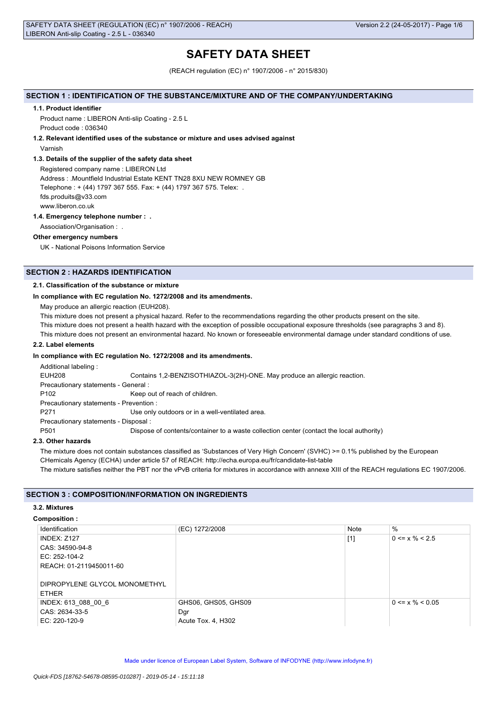# **SAFETY DATA SHEET**

(REACH regulation (EC) n° 1907/2006 - n° 2015/830)

## **SECTION 1 : IDENTIFICATION OF THE SUBSTANCE/MIXTURE AND OF THE COMPANY/UNDERTAKING**

## **1.1. Product identifier**

Product name : LIBERON Anti-slip Coating - 2.5 L Product code : 036340

## **1.2. Relevant identified uses of the substance or mixture and uses advised against**

Varnish

## **1.3. Details of the supplier of the safety data sheet**

Registered company name : LIBERON Ltd Address : .Mountfield Industrial Estate KENT TN28 8XU NEW ROMNEY GB Telephone : + (44) 1797 367 555. Fax: + (44) 1797 367 575. Telex: . fds.produits@v33.com

www.liberon.co.uk

## **1.4. Emergency telephone number : .**

Association/Organisation : .

## **Other emergency numbers**

UK - National Poisons Information Service

## **SECTION 2 : HAZARDS IDENTIFICATION**

## **2.1. Classification of the substance or mixture**

## **In compliance with EC regulation No. 1272/2008 and its amendments.**

May produce an allergic reaction (EUH208).

This mixture does not present a physical hazard. Refer to the recommendations regarding the other products present on the site.

This mixture does not present a health hazard with the exception of possible occupational exposure thresholds (see paragraphs 3 and 8).

This mixture does not present an environmental hazard. No known or foreseeable environmental damage under standard conditions of use.

## **2.2. Label elements**

## **In compliance with EC regulation No. 1272/2008 and its amendments.**

Additional labeling :

EUH208 Contains 1,2-BENZISOTHIAZOL-3(2H)-ONE. May produce an allergic reaction.

Precautionary statements - General :

P102 Keep out of reach of children.

Precautionary statements - Prevention :

P271 Use only outdoors or in a well-ventilated area.

Precautionary statements - Disposal :

P501 Dispose of contents/container to a waste collection center (contact the local authority)

## **2.3. Other hazards**

The mixture does not contain substances classified as 'Substances of Very High Concern' (SVHC) >= 0.1% published by the European CHemicals Agency (ECHA) under article 57 of REACH: http://echa.europa.eu/fr/candidate-list-table

The mixture satisfies neither the PBT nor the vPvB criteria for mixtures in accordance with annexe XIII of the REACH regulations EC 1907/2006.

## **SECTION 3 : COMPOSITION/INFORMATION ON INGREDIENTS**

## **3.2. Mixtures**

## **Composition :**

| Identification                | (EC) 1272/2008      | Note  | %                     |
|-------------------------------|---------------------|-------|-----------------------|
| <b>INDEX: Z127</b>            |                     | $[1]$ | $0 \le x \% \le 2.5$  |
| CAS: 34590-94-8               |                     |       |                       |
| EC: 252-104-2                 |                     |       |                       |
| REACH: 01-2119450011-60       |                     |       |                       |
|                               |                     |       |                       |
| DIPROPYLENE GLYCOL MONOMETHYL |                     |       |                       |
| <b>ETHER</b>                  |                     |       |                       |
| INDEX: 613 088 00 6           | GHS06, GHS05, GHS09 |       | $0 \le x \% \le 0.05$ |
| CAS: 2634-33-5                | Dgr                 |       |                       |
| EC: 220-120-9                 | Acute Tox. 4, H302  |       |                       |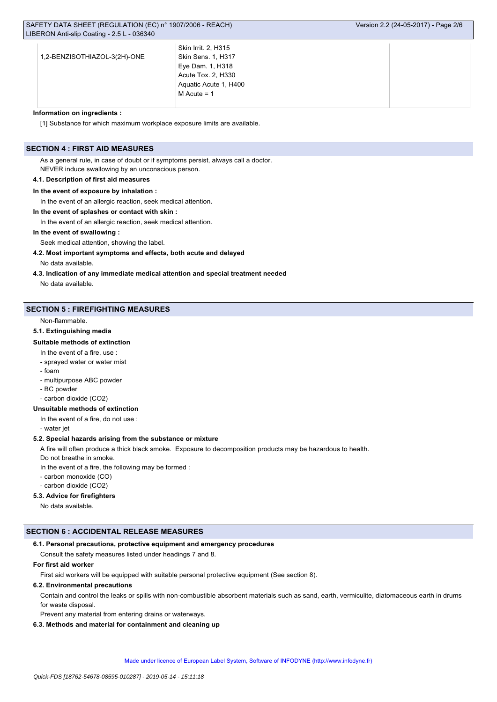|                              | Skin Irrit. 2, H315   |  |  |
|------------------------------|-----------------------|--|--|
| 1,2-BENZISOTHIAZOL-3(2H)-ONE | Skin Sens. 1, H317    |  |  |
|                              | Eye Dam. 1, H318      |  |  |
|                              | Acute Tox. 2, H330    |  |  |
|                              | Aquatic Acute 1, H400 |  |  |
|                              | $M$ Acute = 1         |  |  |
|                              |                       |  |  |

#### **Information on ingredients :**

[1] Substance for which maximum workplace exposure limits are available.

## **SECTION 4 : FIRST AID MEASURES**

As a general rule, in case of doubt or if symptoms persist, always call a doctor. NEVER induce swallowing by an unconscious person.

### **4.1. Description of first aid measures**

### **In the event of exposure by inhalation :**

In the event of an allergic reaction, seek medical attention.

## **In the event of splashes or contact with skin :**

In the event of an allergic reaction, seek medical attention.

## **In the event of swallowing :**

Seek medical attention, showing the label.

### **4.2. Most important symptoms and effects, both acute and delayed**

No data available.

**4.3. Indication of any immediate medical attention and special treatment needed**

No data available.

## **SECTION 5 : FIREFIGHTING MEASURES**

Non-flammable.

## **5.1. Extinguishing media**

### **Suitable methods of extinction**

In the event of a fire, use :

- sprayed water or water mist

- foam

- multipurpose ABC powder
- BC powder
- carbon dioxide (CO2)

#### **Unsuitable methods of extinction**

In the event of a fire, do not use :

- water jet

## **5.2. Special hazards arising from the substance or mixture**

A fire will often produce a thick black smoke. Exposure to decomposition products may be hazardous to health.

Do not breathe in smoke.

- In the event of a fire, the following may be formed :
- carbon monoxide (CO)
- carbon dioxide (CO2)

## **5.3. Advice for firefighters**

No data available.

## **SECTION 6 : ACCIDENTAL RELEASE MEASURES**

## **6.1. Personal precautions, protective equipment and emergency procedures**

Consult the safety measures listed under headings 7 and 8.

## **For first aid worker**

First aid workers will be equipped with suitable personal protective equipment (See section 8).

## **6.2. Environmental precautions**

Contain and control the leaks or spills with non-combustible absorbent materials such as sand, earth, vermiculite, diatomaceous earth in drums for waste disposal.

Prevent any material from entering drains or waterways.

## **6.3. Methods and material for containment and cleaning up**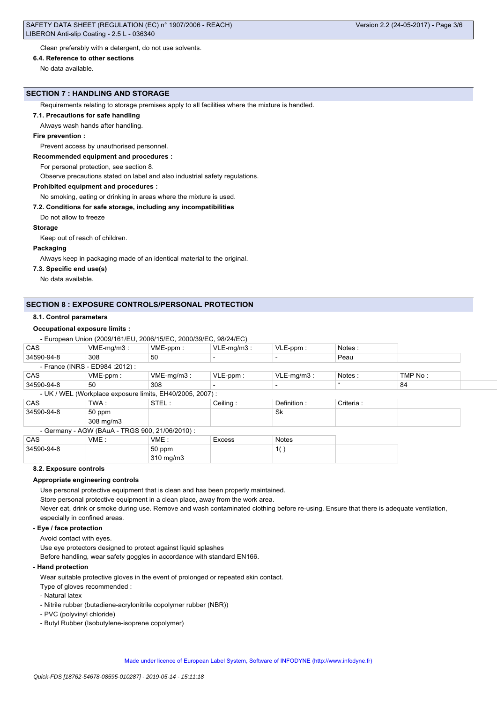Clean preferably with a detergent, do not use solvents.

#### **6.4. Reference to other sections**

No data available.

### **SECTION 7 : HANDLING AND STORAGE**

Requirements relating to storage premises apply to all facilities where the mixture is handled.

#### **7.1. Precautions for safe handling**

Always wash hands after handling.

#### **Fire prevention :**

Prevent access by unauthorised personnel.

#### **Recommended equipment and procedures :**

For personal protection, see section 8.

Observe precautions stated on label and also industrial safety regulations.

#### **Prohibited equipment and procedures :**

No smoking, eating or drinking in areas where the mixture is used.

### **7.2. Conditions for safe storage, including any incompatibilities**

Do not allow to freeze

#### **Storage**

Keep out of reach of children.

#### **Packaging**

Always keep in packaging made of an identical material to the original.

### **7.3. Specific end use(s)**

No data available.

## **SECTION 8 : EXPOSURE CONTROLS/PERSONAL PROTECTION**

### **8.1. Control parameters**

## **Occupational exposure limits :**

- European Union (2009/161/EU, 2006/15/EC, 2000/39/EC, 98/24/EC)

| CAS        | $VME-mq/m3:$                                    | VME-ppm:                                                 | $VLE-mq/m3$ : | $VLE-ppm$ :   | Notes:    |         |  |
|------------|-------------------------------------------------|----------------------------------------------------------|---------------|---------------|-----------|---------|--|
| 34590-94-8 | 308                                             | 50                                                       |               |               | Peau      |         |  |
|            | - France (INRS - ED984 : 2012) :                |                                                          |               |               |           |         |  |
| <b>CAS</b> | VME-ppm :                                       | $VME-mg/m3$ :                                            | $VLE-ppm$ :   | $VLE-mg/m3$ : | Notes:    | TMP No: |  |
| 34590-94-8 | 50                                              | 308                                                      |               |               | $\star$   | 84      |  |
|            |                                                 | - UK / WEL (Workplace exposure limits, EH40/2005, 2007): |               |               |           |         |  |
| <b>CAS</b> | TWA :                                           | STEL:                                                    | Ceiling:      | Definition:   | Criteria: |         |  |
| 34590-94-8 | 50 ppm                                          |                                                          |               | Sk            |           |         |  |
|            | 308 mg/m3                                       |                                                          |               |               |           |         |  |
|            | - Germany - AGW (BAuA - TRGS 900, 21/06/2010) : |                                                          |               |               |           |         |  |
| <b>CAS</b> | VME:                                            | VME:                                                     | Excess        | <b>Notes</b>  |           |         |  |
| 34590-94-8 |                                                 | 50 ppm                                                   |               | 1()           |           |         |  |
|            |                                                 | 310 mg/m3                                                |               |               |           |         |  |

## **8.2. Exposure controls**

#### **Appropriate engineering controls**

Use personal protective equipment that is clean and has been properly maintained.

Store personal protective equipment in a clean place, away from the work area.

Never eat, drink or smoke during use. Remove and wash contaminated clothing before re-using. Ensure that there is adequate ventilation, especially in confined areas.

### **- Eye / face protection**

Avoid contact with eyes.

Use eye protectors designed to protect against liquid splashes

Before handling, wear safety goggles in accordance with standard EN166.

#### **- Hand protection**

Wear suitable protective gloves in the event of prolonged or repeated skin contact.

Type of gloves recommended :

- Natural latex
- Nitrile rubber (butadiene-acrylonitrile copolymer rubber (NBR))
- PVC (polyvinyl chloride)
- Butyl Rubber (Isobutylene-isoprene copolymer)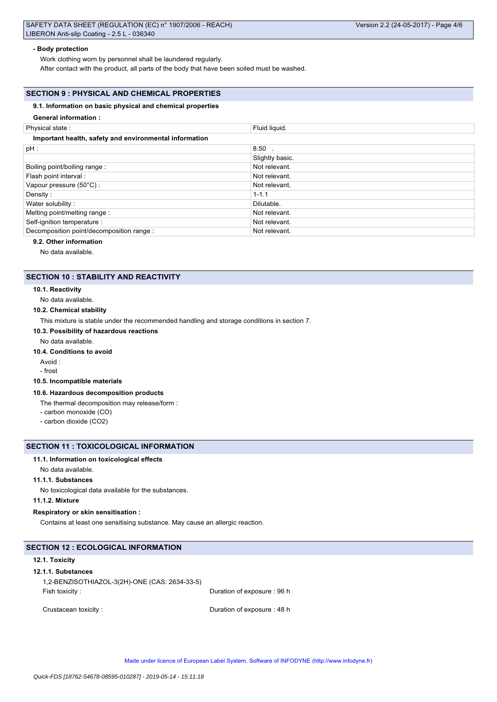### **- Body protection**

Work clothing worn by personnel shall be laundered regularly.

After contact with the product, all parts of the body that have been soiled must be washed.

## **SECTION 9 : PHYSICAL AND CHEMICAL PROPERTIES**

### **9.1. Information on basic physical and chemical properties**

#### **General information :**

| Physical state:                                        | Fluid liquid.   |  |
|--------------------------------------------------------|-----------------|--|
| Important health, safety and environmental information |                 |  |
| $pH$ :                                                 | $8.50$ .        |  |
|                                                        | Slightly basic. |  |
| Boiling point/boiling range:                           | Not relevant.   |  |
| Flash point interval :                                 | Not relevant.   |  |
| Vapour pressure (50°C) :                               | Not relevant.   |  |
| Density:                                               | $1 - 1.1$       |  |
| Water solubility:                                      | Dilutable.      |  |
| Melting point/melting range:                           | Not relevant.   |  |
| Self-ignition temperature :                            | Not relevant.   |  |
| Decomposition point/decomposition range :              | Not relevant.   |  |

## **9.2. Other information**

No data available.

### **SECTION 10 : STABILITY AND REACTIVITY**

#### **10.1. Reactivity**

## No data available.

#### **10.2. Chemical stability**

This mixture is stable under the recommended handling and storage conditions in section 7.

## **10.3. Possibility of hazardous reactions**

#### No data available.

#### **10.4. Conditions to avoid**

Avoid :

### - frost

### **10.5. Incompatible materials**

#### **10.6. Hazardous decomposition products**

The thermal decomposition may release/form :

- carbon monoxide (CO)
- carbon dioxide (CO2)

### **SECTION 11 : TOXICOLOGICAL INFORMATION**

#### **11.1. Information on toxicological effects**

No data available.

## **11.1.1. Substances**

No toxicological data available for the substances.

## **11.1.2. Mixture**

#### **Respiratory or skin sensitisation :**

Contains at least one sensitising substance. May cause an allergic reaction.

## **SECTION 12 : ECOLOGICAL INFORMATION**

#### **12.1. Toxicity**

#### **12.1.1. Substances**

1,2-BENZISOTHIAZOL-3(2H)-ONE (CAS: 2634-33-5) Fish toxicity : Contract to the Duration of exposure : 96 h

Crustacean toxicity : Crustacean toxicity : Crustacean toxicity : Duration of exposure : 48 h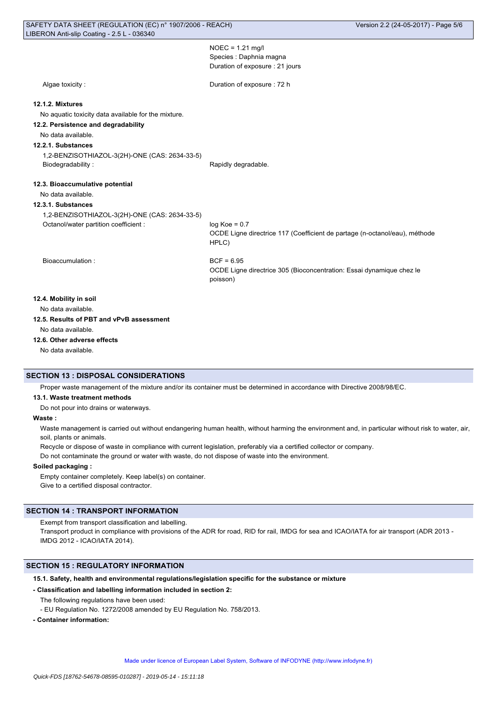NOEC = 1.21 mg/l Species : Daphnia magna Duration of exposure : 21 jours

Algae toxicity :  $\qquad \qquad$  Duration of exposure : 72 h **12.1.2. Mixtures** No aquatic toxicity data available for the mixture. **12.2. Persistence and degradability** No data available. **12.2.1. Substances** 1,2-BENZISOTHIAZOL-3(2H)-ONE (CAS: 2634-33-5) Biodegradability : The Contract of the Rapidly degradable. **12.3. Bioaccumulative potential** No data available. **12.3.1. Substances** 1,2-BENZISOTHIAZOL-3(2H)-ONE (CAS: 2634-33-5) Octanol/water partition coefficient : log Koe = 0.7 OCDE Ligne directrice 117 (Coefficient de partage (n-octanol/eau), méthode HPLC) Bioaccumulation : BIOACCUMULATION ENDING: OCDE Ligne directrice 305 (Bioconcentration: Essai dynamique chez le poisson) **12.4. Mobility in soil** No data available.

**12.5. Results of PBT and vPvB assessment**

No data available.

**12.6. Other adverse effects**

No data available.

## **SECTION 13 : DISPOSAL CONSIDERATIONS**

Proper waste management of the mixture and/or its container must be determined in accordance with Directive 2008/98/EC.

### **13.1. Waste treatment methods**

Do not pour into drains or waterways.

### **Waste :**

Waste management is carried out without endangering human health, without harming the environment and, in particular without risk to water, air, soil, plants or animals.

Recycle or dispose of waste in compliance with current legislation, preferably via a certified collector or company.

Do not contaminate the ground or water with waste, do not dispose of waste into the environment.

## **Soiled packaging :**

Empty container completely. Keep label(s) on container. Give to a certified disposal contractor.

## **SECTION 14 : TRANSPORT INFORMATION**

Exempt from transport classification and labelling.

Transport product in compliance with provisions of the ADR for road, RID for rail, IMDG for sea and ICAO/IATA for air transport (ADR 2013 - IMDG 2012 - ICAO/IATA 2014).

## **SECTION 15 : REGULATORY INFORMATION**

### **15.1. Safety, health and environmental regulations/legislation specific for the substance or mixture**

**- Classification and labelling information included in section 2:**

The following regulations have been used:

- EU Regulation No. 1272/2008 amended by EU Regulation No. 758/2013.
- **Container information:**